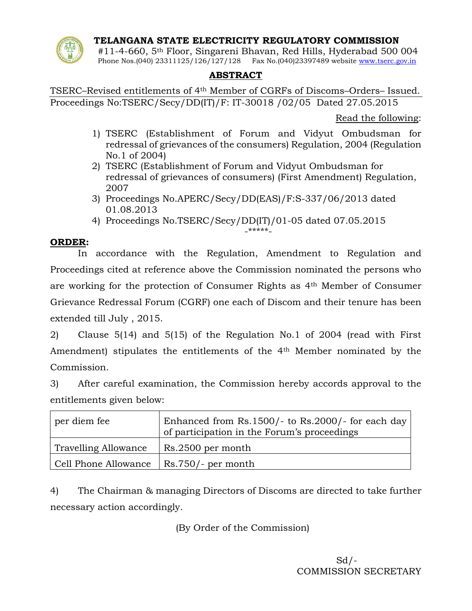**TELANGANA STATE ELECTRICITY REGULATORY COMMISSION**



#11-4-660, 5th Floor, Singareni Bhavan, Red Hills, Hyderabad 500 004 Phone Nos.(040) 23311125/126/127/128 Fax No.(040)23397489 website [www.tserc.gov.in](http://www.tserc.gov.in/)

## **ABSTRACT**

TSERC–Revised entitlements of 4th Member of CGRFs of Discoms–Orders– Issued. Proceedings No:TSERC/Secy/DD(IT)/F: IT-30018 /02/05 Dated 27.05.2015

Read the following:

- 1) TSERC (Establishment of Forum and Vidyut Ombudsman for redressal of grievances of the consumers) Regulation, 2004 (Regulation No.1 of 2004)
- 2) TSERC (Establishment of Forum and Vidyut Ombudsman for redressal of grievances of consumers) (First Amendment) Regulation, 2007
- 3) Proceedings No.APERC/Secy/DD(EAS)/F:S-337/06/2013 dated 01.08.2013
- 4) Proceedings No.TSERC/Secy/DD(IT)/01-05 dated 07.05.2015 -\*\*\*\*\*-

## **ORDER:**

In accordance with the Regulation, Amendment to Regulation and Proceedings cited at reference above the Commission nominated the persons who are working for the protection of Consumer Rights as 4th Member of Consumer Grievance Redressal Forum (CGRF) one each of Discom and their tenure has been extended till July , 2015.

2) Clause 5(14) and 5(15) of the Regulation No.1 of 2004 (read with First Amendment) stipulates the entitlements of the 4th Member nominated by the Commission.

3) After careful examination, the Commission hereby accords approval to the entitlements given below:

| per diem fee                | Enhanced from $Rs.1500/-$ to $Rs.2000/-$ for each day<br>of participation in the Forum's proceedings |
|-----------------------------|------------------------------------------------------------------------------------------------------|
| <b>Travelling Allowance</b> | Rs.2500 per month                                                                                    |
| Cell Phone Allowance        | $\vert$ Rs.750/- per month                                                                           |

4) The Chairman & managing Directors of Discoms are directed to take further necessary action accordingly.

(By Order of the Commission)